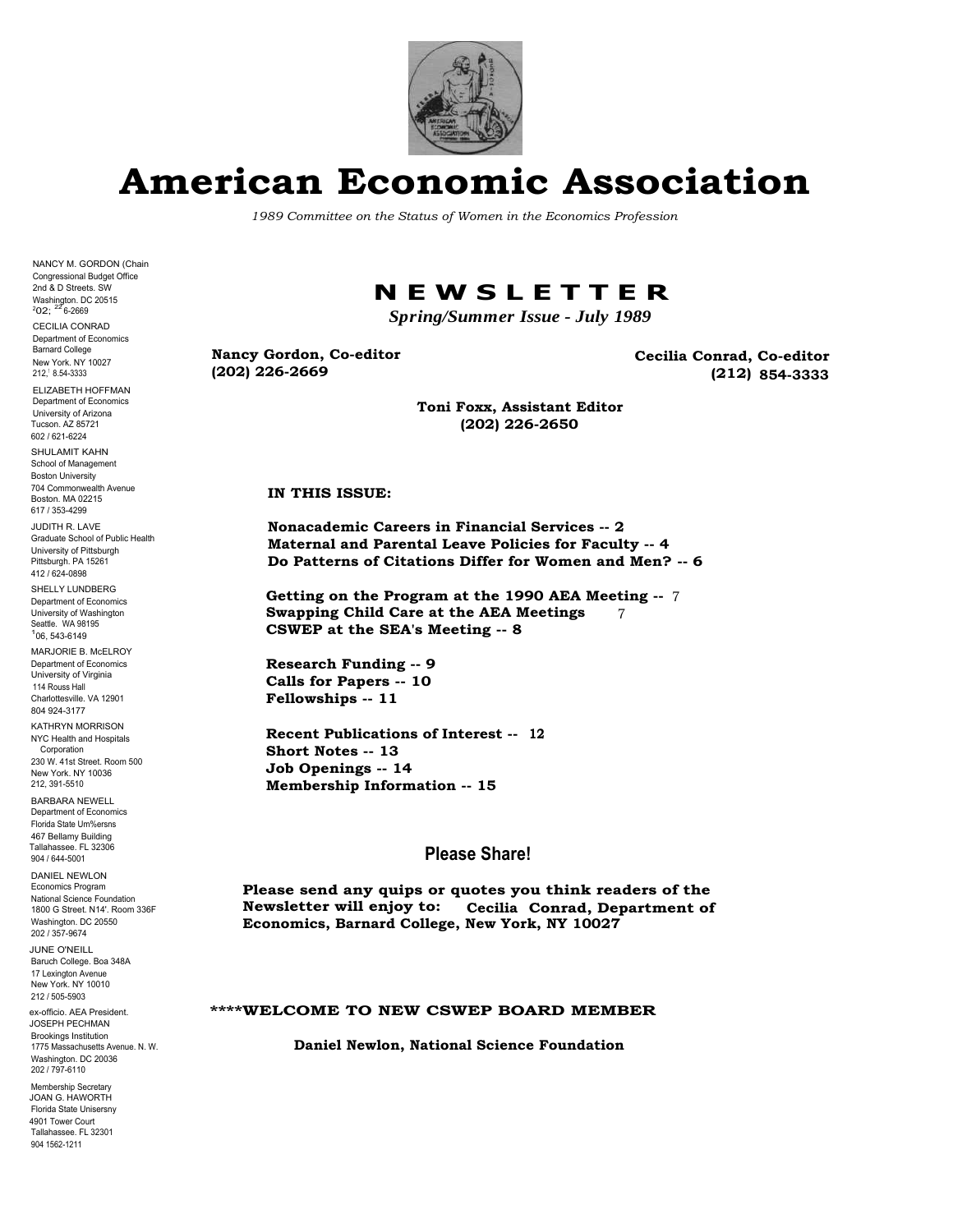

## **American Economic Association**

*1989 Committee on the Status of Women in the Economics Profession*

NANCY M. GORDON (Chain Congressional Budget Office 2nd & D Streets. SW Washington. DC 20515<br><sup>2</sup>O2; <sup>22</sup> 6-2669

CECILIA CONRAD Department of Economics Barnard College New York. NY 10027 212,<sup>1</sup> 8.54-3333

ELIZABETH HOFFMAN Department of Economics University of Arizona Tucson. AZ 85721 602 / 621-6224

SHULAMIT KAHN School of Management Boston University 704 Commonwealth Avenue Boston. MA 02215 617 / 353-4299

JUDITH R. LAVE Graduate School of Public Health University of Pittsburgh Pittsburgh. PA 15261 412 / 624-0898 SHELLY LUNDBERG Department of Economics University of Washington Seattle. WA 98195

106, 543-6149 MARJORIE B. McELROY Department of Economics University of Virginia 114 Rouss Hall

Charlottesville. VA 12901 804 924-3177 KATHRYN MORRISON<br>NYC Health and Hospitals

**Corporation** 230 W. 41st Street. Room 500 New York. NY 10036

212, 391-5510 BARBARA NEWELL Department of Economics

Florida State Um%ersns 467 Bellamy Building Tallahassee. FL 32306

DANIEL NEWLON Economics Program National Science Foundation 1800 G Street. N14'. Room 336F Washington. DC 20550 202 / 357-9674

JUNE O'NEILL Baruch College. Boa 348A 17 Lexington Avenue New York. NY 10010 212 / 505-5903

ex-officio. AEA President. JOSEPH PECHMAN Brookings Institution 1775 Massachusetts Avenue. N. W. Washington. DC 20036 202 / 797-6110

904 1562-1211 Membership Secretary JOAN G. HAWORTH Florida State Unisersny 4901 Tower Court Tallahassee. FL 32301

### **N E W S L E T T E R**

*Spring/Summer Issue - July 1989*

**Nancy Gordon, Co-editor (202) 226-2669**

**Cecilia Conrad, Co-editor (212) 854-3333**

**Toni Foxx, Assistant Editor (202) 226-2650**

#### **IN THIS ISSUE:**

**Nonacademic Careers in Financial Services -- 2 Maternal and Parental Leave Policies for Faculty -- 4 Do Patterns of Citations Differ for Women and Men? -- 6**

**Getting on the Program at the 1990 AEA Meeting --** 7 **Swapping Child Care at the AEA Meetings** 7 CSWEP at the SEA's Meeting -- 8

**Research Funding -- 9 Calls for Papers -- 10 Fellowships -- 11**

Recent Publications of Interest -- 12 **Short Notes -- 13 Job Openings -- 14 Membership Information -- 15**

#### **Please Share!**

**Please send any quips or quotes you think readers of the Newsletter will enjoy to: Cecilia Conrad, Department of Economics, Barnard College, New York, NY 10027**

#### **\*\*\*\*WELCOME TO NEW CSWEP BOARD MEMBER**

**Daniel Newlon, National Science Foundation**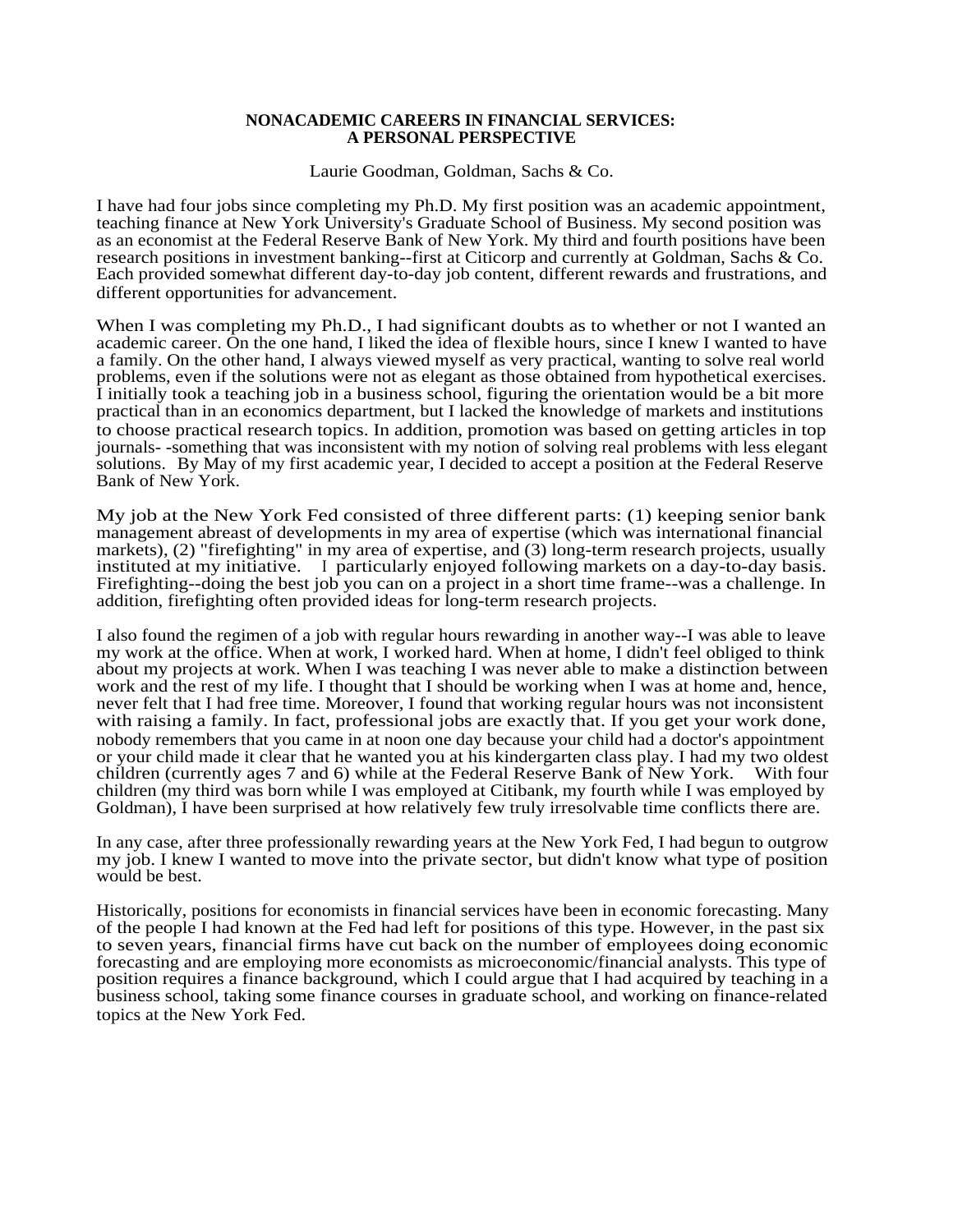#### **NONACADEMIC CAREERS IN FINANCIAL SERVICES: A PERSONAL PERSPECTIVE**

Laurie Goodman, Goldman, Sachs & Co.

I have had four jobs since completing my Ph.D. My first position was an academic appointment, teaching finance at New York University's Graduate School of Business. My second position was as an economist at the Federal Reserve Bank of New York. My third and fourth positions have been research positions in investment banking--first at Citicorp and currently at Goldman, Sachs & Co. Each provided somewhat different day-to-day job content, different rewards and frustrations, and different opportunities for advancement.

When I was completing my Ph.D., I had significant doubts as to whether or not I wanted an academic career. On the one hand, I liked the idea of flexible hours, since I knew I wanted to have a family. On the other hand, I always viewed myself as very practical, wanting to solve real world problems, even if the solutions were not as elegant as those obtained from hypothetical exercises. I initially took a teaching job in a business school, figuring the orientation would be a bit more practical than in an economics department, but I lacked the knowledge of markets and institutions to choose practical research topics. In addition, promotion was based on getting articles in top journals- -something that was inconsistent with my notion of solving real problems with less elegant solutions. By May of my first academic year, I decided to accept a position at the Federal Reserve Bank of New York.

My job at the New York Fed consisted of three different parts: (1) keeping senior bank management abreast of developments in my area of expertise (which was international financial markets), (2) "firefighting" in my area of expertise, and (3) long-term research projects, usually instituted at my initiative. <sup>I</sup> particularly enjoyed following markets on a day-to-day basis. Firefighting--doing the best job you can on a project in a short time frame--was a challenge. In addition, firefighting often provided ideas for long-term research projects.

I also found the regimen of a job with regular hours rewarding in another way--I was able to leave my work at the office. When at work, I worked hard. When at home, I didn't feel obliged to think about my projects at work. When I was teaching I was never able to make a distinction between work and the rest of my life. I thought that I should be working when I was at home and, hence, never felt that I had free time. Moreover, I found that working regular hours was not inconsistent with raising a family. In fact, professional jobs are exactly that. If you get your work done, nobody remembers that you came in at noon one day because your child had a doctor's appointment or your child made it clear that he wanted you at his kindergarten class play. I had my two oldest children (currently ages 7 and 6) while at the Federal Reserve Bank of New York. With four children (my third was born while I was employed at Citibank, my fourth while I was employed by Goldman), I have been surprised at how relatively few truly irresolvable time conflicts there are.

In any case, after three professionally rewarding years at the New York Fed, I had begun to outgrow my job. I knew I wanted to move into the private sector, but didn't know what type of position would be best.

Historically, positions for economists in financial services have been in economic forecasting. Many of the people I had known at the Fed had left for positions of this type. However, in the past six to seven years, financial firms have cut back on the number of employees doing economic forecasting and are employing more economists as microeconomic/financial analysts. This type of position requires a finance background, which I could argue that I had acquired by teaching in a business school, taking some finance courses in graduate school, and working on finance-related topics at the New York Fed.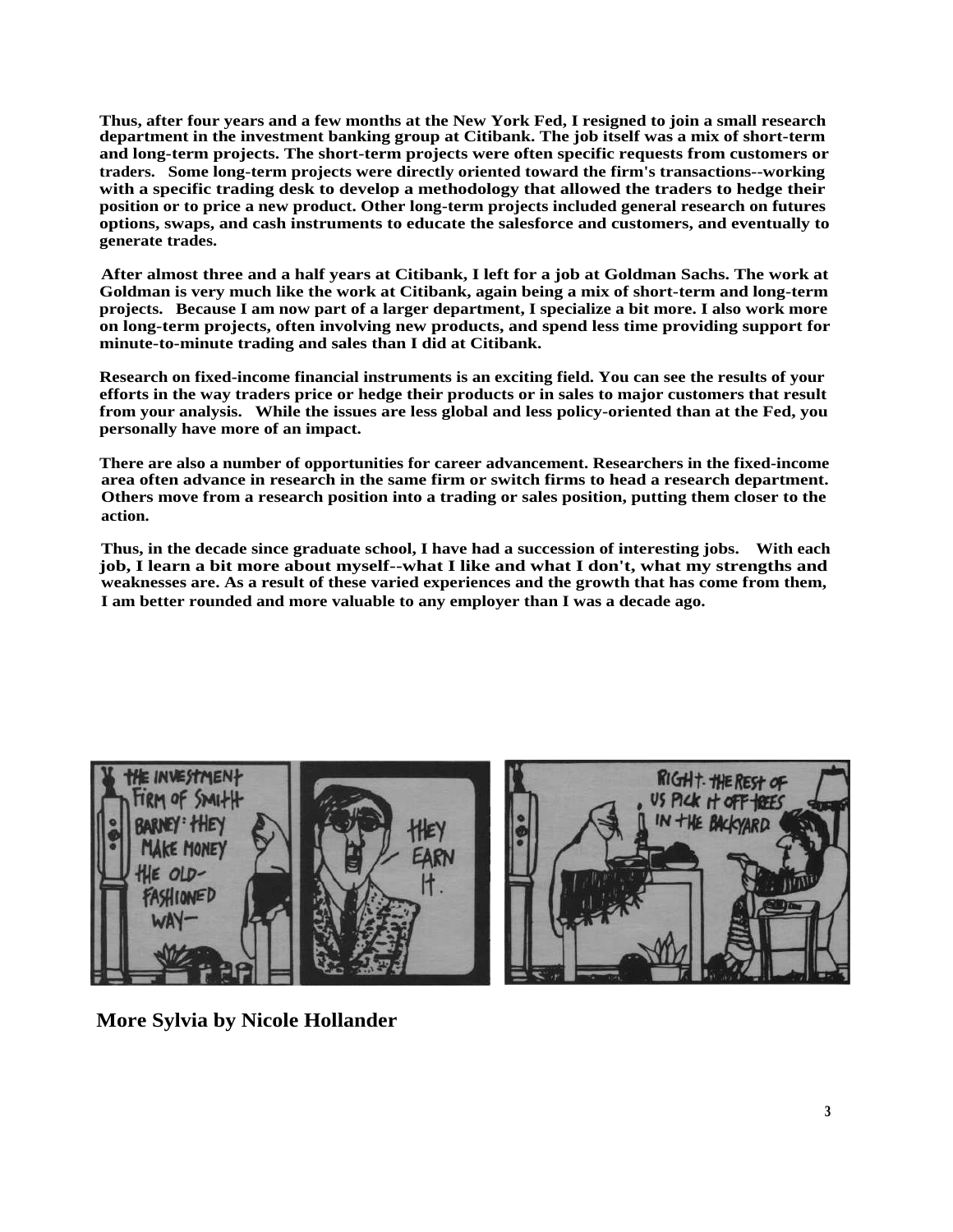**Thus, after four years and a few months at the New York Fed, I resigned to join a small research department in the investment banking group at Citibank. The job itself was a mix of short-term and long-term projects. The short-term projects were often specific requests from customers or traders. Some long-term projects were directly oriented toward the firm's transactions--working with a specific trading desk to develop a methodology that allowed the traders to hedge their position or to price a new product. Other long-term projects included general research on futures options, swaps, and cash instruments to educate the salesforce and customers, and eventually to generate trades.**

**After almost three and a half years at Citibank, I left for a job at Goldman Sachs. The work at Goldman is very much like the work at Citibank, again being a mix of short-term and long-term projects. Because I am now part of a larger department, I specialize a bit more. I also work more on long-term projects, often involving new products, and spend less time providing support for minute-to-minute trading and sales than I did at Citibank.**

**Research on fixed-income financial instruments is an exciting field. You can see the results of your efforts in the way traders price or hedge their products or in sales to major customers that result from your analysis. While the issues are less global and less policy-oriented than at the Fed, you personally have more of an impact.**

**There are also a number of opportunities for career advancement. Researchers in the fixed-income area often advance in research in the same firm or switch firms to head a research department. Others move from a research position into a trading or sales position, putting them closer to the action.**

**Thus, in the decade since graduate school, I have had a succession of interesting jobs. With each job, I learn a bit more about myself--what I like and what I don't, what my strengths and weaknesses are. As a result of these varied experiences and the growth that has come from them, I am better rounded and more valuable to any employer than I was a decade ago.**



**More Sylvia by Nicole Hollander**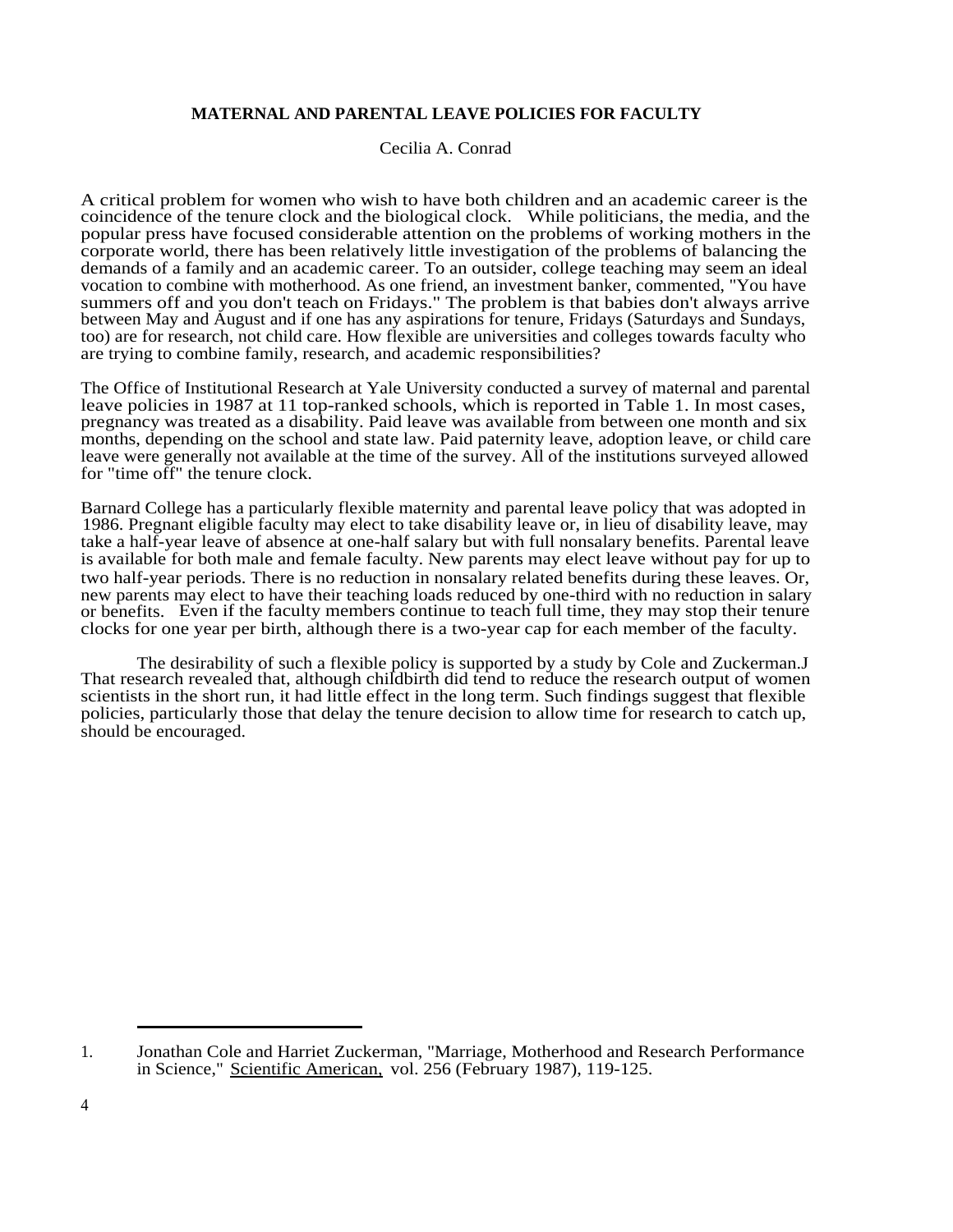#### **MATERNAL AND PARENTAL LEAVE POLICIES FOR FACULTY**

Cecilia A. Conrad

A critical problem for women who wish to have both children and an academic career is the coincidence of the tenure clock and the biological clock. While politicians, the media, and the popular press have focused considerable attention on the problems of working mothers in the corporate world, there has been relatively little investigation of the problems of balancing the demands of a family and an academic career. To an outsider, college teaching may seem an ideal vocation to combine with motherhood. As one friend, an investment banker, commented, "You have summers off and you don't teach on Fridays." The problem is that babies don't always arrive between May and August and if one has any aspirations for tenure, Fridays (Saturdays and Sundays, too) are for research, not child care. How flexible are universities and colleges towards faculty who are trying to combine family, research, and academic responsibilities?

The Office of Institutional Research at Yale University conducted a survey of maternal and parental leave policies in 1987 at 11 top-ranked schools, which is reported in Table 1. In most cases, pregnancy was treated as a disability. Paid leave was available from between one month and six months, depending on the school and state law. Paid paternity leave, adoption leave, or child care leave were generally not available at the time of the survey. All of the institutions surveyed allowed for "time off" the tenure clock.

Barnard College has a particularly flexible maternity and parental leave policy that was adopted in 1986. Pregnant eligible faculty may elect to take disability leave or, in lieu of disability leave, may take a half-year leave of absence at one-half salary but with full nonsalary benefits. Parental leave is available for both male and female faculty. New parents may elect leave without pay for up to two half-year periods. There is no reduction in nonsalary related benefits during these leaves. Or, new parents may elect to have their teaching loads reduced by one-third with no reduction in salary or benefits. Even if the faculty members continue to teach full time, they may stop their tenure clocks for one year per birth, although there is a two-year cap for each member of the faculty.

The desirability of such a flexible policy is supported by a study by Cole and Zuckerman.J That research revealed that, although childbirth did tend to reduce the research output of women scientists in the short run, it had little effect in the long term. Such findings suggest that flexible policies, particularly those that delay the tenure decision to allow time for research to catch up, should be encouraged.

<sup>1.</sup> Jonathan Cole and Harriet Zuckerman, "Marriage, Motherhood and Research Performance in Science," Scientific American, vol. 256 (February 1987), 119-125.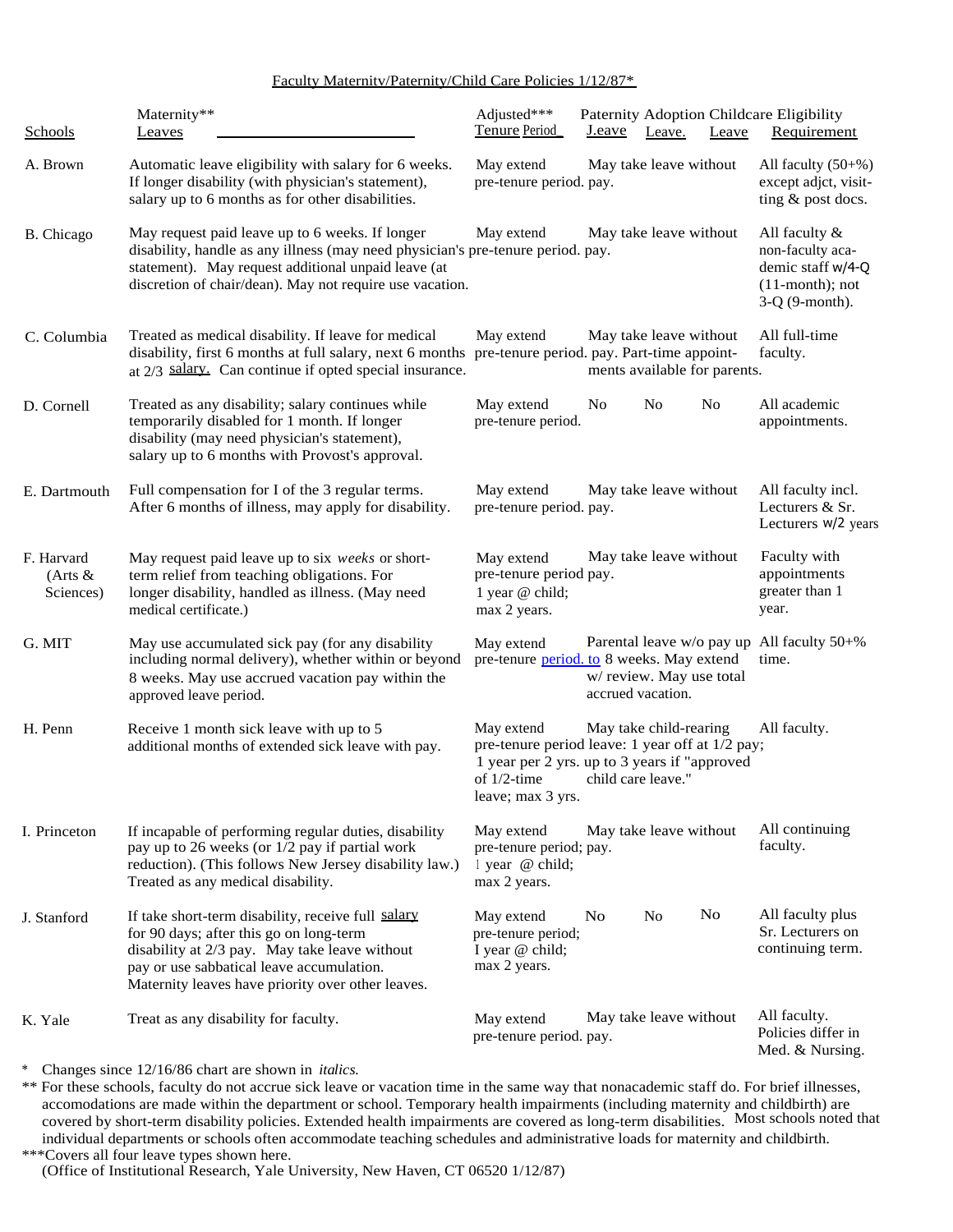#### Faculty Maternitv/Paternity/Child Care Policies 1/12/87\*

| Schools                               | Maternity**<br>Leaves                                                                                                                                                                                                                                 | Adjusted***<br>Tenure Period                                             | Paternity Adoption Childcare Eligibility<br><u>J.eave</u><br>Leave.                                                                             | Requirement<br>Leave                                                                               |
|---------------------------------------|-------------------------------------------------------------------------------------------------------------------------------------------------------------------------------------------------------------------------------------------------------|--------------------------------------------------------------------------|-------------------------------------------------------------------------------------------------------------------------------------------------|----------------------------------------------------------------------------------------------------|
| A. Brown                              | Automatic leave eligibility with salary for 6 weeks.<br>If longer disability (with physician's statement),<br>salary up to 6 months as for other disabilities.                                                                                        | May extend<br>pre-tenure period. pay.                                    | May take leave without                                                                                                                          | All faculty $(50+%)$<br>except adjct, visit-<br>ting & post docs.                                  |
| B. Chicago                            | May request paid leave up to 6 weeks. If longer<br>disability, handle as any illness (may need physician's pre-tenure period. pay.<br>statement). May request additional unpaid leave (at<br>discretion of chair/dean). May not require use vacation. | May extend                                                               | May take leave without                                                                                                                          | All faculty $&$<br>non-faculty aca-<br>demic staff w/4-Q<br>$(11$ -month); not<br>$3-Q$ (9-month). |
| C. Columbia                           | Treated as medical disability. If leave for medical<br>disability, first 6 months at full salary, next 6 months<br>at 2/3 salary. Can continue if opted special insurance.                                                                            | May extend                                                               | May take leave without<br>pre-tenure period. pay. Part-time appoint-<br>ments available for parents.                                            | All full-time<br>faculty.                                                                          |
| D. Cornell                            | Treated as any disability; salary continues while<br>temporarily disabled for 1 month. If longer<br>disability (may need physician's statement),<br>salary up to 6 months with Provost's approval.                                                    | May extend<br>pre-tenure period.                                         | No<br>No<br>N <sub>0</sub>                                                                                                                      | All academic<br>appointments.                                                                      |
| E. Dartmouth                          | Full compensation for I of the 3 regular terms.<br>After 6 months of illness, may apply for disability.                                                                                                                                               | May extend<br>pre-tenure period. pay.                                    | May take leave without                                                                                                                          | All faculty incl.<br>Lecturers & Sr.<br>Lecturers W/2 years                                        |
| F. Harvard<br>$(Arts \&$<br>Sciences) | May request paid leave up to six weeks or short-<br>term relief from teaching obligations. For<br>longer disability, handled as illness. (May need<br>medical certificate.)                                                                           | May extend<br>pre-tenure period pay.<br>1 year @ child;<br>max 2 years.  | May take leave without                                                                                                                          | Faculty with<br>appointments<br>greater than 1<br>year.                                            |
| G. MIT                                | May use accumulated sick pay (for any disability<br>including normal delivery), whether within or beyond<br>8 weeks. May use accrued vacation pay within the<br>approved leave period.                                                                | May extend                                                               | pre-tenure period. to 8 weeks. May extend<br>w/review. May use total<br>accrued vacation.                                                       | Parental leave w/o pay up All faculty 50+%<br>time.                                                |
| H. Penn                               | Receive 1 month sick leave with up to 5<br>additional months of extended sick leave with pay.                                                                                                                                                         | May extend<br>of $1/2$ -time<br>leave; max 3 yrs.                        | May take child-rearing<br>pre-tenure period leave: 1 year off at 1/2 pay;<br>1 year per 2 yrs. up to 3 years if "approved<br>child care leave." | All faculty.                                                                                       |
| I. Princeton                          | If incapable of performing regular duties, disability<br>pay up to 26 weeks (or 1/2 pay if partial work<br>reduction). (This follows New Jersey disability law.)<br>Treated as any medical disability.                                                | May extend<br>pre-tenure period; pay.<br>l year @ child;<br>max 2 years. | May take leave without                                                                                                                          | All continuing<br>faculty.                                                                         |
| J. Stanford                           | If take short-term disability, receive full salary<br>for 90 days; after this go on long-term<br>disability at 2/3 pay. May take leave without<br>pay or use sabbatical leave accumulation.<br>Maternity leaves have priority over other leaves.      | May extend<br>pre-tenure period;<br>I year @ child;<br>max 2 years.      | No<br>N <sub>o</sub><br>No.                                                                                                                     | All faculty plus<br>Sr. Lecturers on<br>continuing term.                                           |
| K. Yale                               | Treat as any disability for faculty.                                                                                                                                                                                                                  | May extend<br>pre-tenure period. pay.                                    | May take leave without                                                                                                                          | All faculty.<br>Policies differ in<br>Med. & Nursing.                                              |

\* Changes since 12/16/86 chart are shown in *italics.*

\*\* For these schools, faculty do not accrue sick leave or vacation time in the same way that nonacademic staff do. For brief illnesses, accomodations are made within the department or school. Temporary health impairments (including maternity and childbirth) are covered by short-term disability policies. Extended health impairments are covered as long-term disabilities. Most schools noted that individual departments or schools often accommodate teaching schedules and administrative loads for maternity and childbirth. \*\*\*Covers all four leave types shown here.

(Office of Institutional Research, Yale University, New Haven, CT 06520 1/12/87)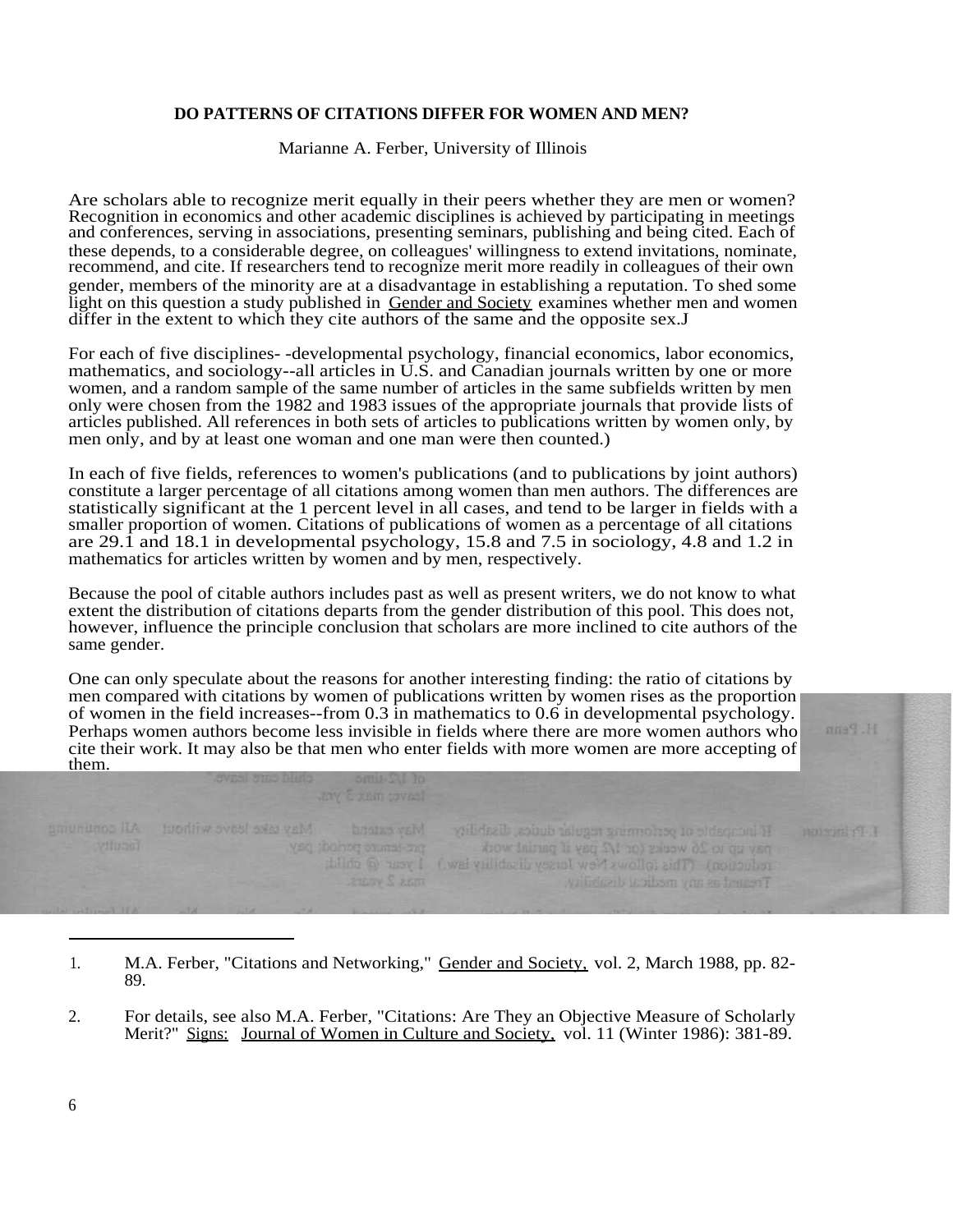#### **DO PATTERNS OF CITATIONS DIFFER FOR WOMEN AND MEN?**

Marianne A. Ferber, University of Illinois

Are scholars able to recognize merit equally in their peers whether they are men or women? Recognition in economics and other academic disciplines is achieved by participating in meetings and conferences, serving in associations, presenting seminars, publishing and being cited. Each of these depends, to a considerable degree, on colleagues' willingness to extend invitations, nominate, recommend, and cite. If researchers tend to recognize merit more readily in colleagues of their own gender, members of the minority are at a disadvantage in establishing a reputation. To shed some light on this question a study published in Gender and Society examines whether men and women differ in the extent to which they cite authors of the same and the opposite sex.J

For each of five disciplines- -developmental psychology, financial economics, labor economics, mathematics, and sociology--all articles in U.S. and Canadian journals written by one or more women, and a random sample of the same number of articles in the same subfields written by men only were chosen from the 1982 and 1983 issues of the appropriate journals that provide lists of articles published. All references in both sets of articles to publications written by women only, by men only, and by at least one woman and one man were then counted.)

In each of five fields, references to women's publications (and to publications by joint authors) constitute a larger percentage of all citations among women than men authors. The differences are statistically significant at the 1 percent level in all cases, and tend to be larger in fields with a smaller proportion of women. Citations of publications of women as a percentage of all citations are 29.1 and 18.1 in developmental psychology, 15.8 and 7.5 in sociology, 4.8 and 1.2 in mathematics for articles written by women and by men, respectively.

Because the pool of citable authors includes past as well as present writers, we do not know to what extent the distribution of citations departs from the gender distribution of this pool. This does not, however, influence the principle conclusion that scholars are more inclined to cite authors of the same gender.

One can only speculate about the reasons for another interesting finding: the ratio of citations by men compared with citations by women of publications written by women rises as the proportion of women in the field increases--from 0.3 in mathematics to 0.6 in developmental psychology. Perhaps women authors become less invisible in fields where there are more women authors who cite their work. It may also be that men who enter fields with more women are more accepting of them.

feave; max 3 yrs.

May cake leave writings.

If incapple of performing regular duties, disability pay up to 26 weeks (or 1/2 pay if partial work reduction) (This follows New Jacksey disability law.) I year @ child: Tremed as any medical disability.

H. Penn

L.Pinceton

<sup>1.</sup> M.A. Ferber, "Citations and Networking," Gender and Society, vol. 2, March 1988, pp. 82-89.

<sup>2.</sup> For details, see also M.A. Ferber, "Citations: Are They an Objective Measure of Scholarly Merit?" Signs: Journal of Women in Culture and Society, vol. 11 (Winter 1986): 381-89.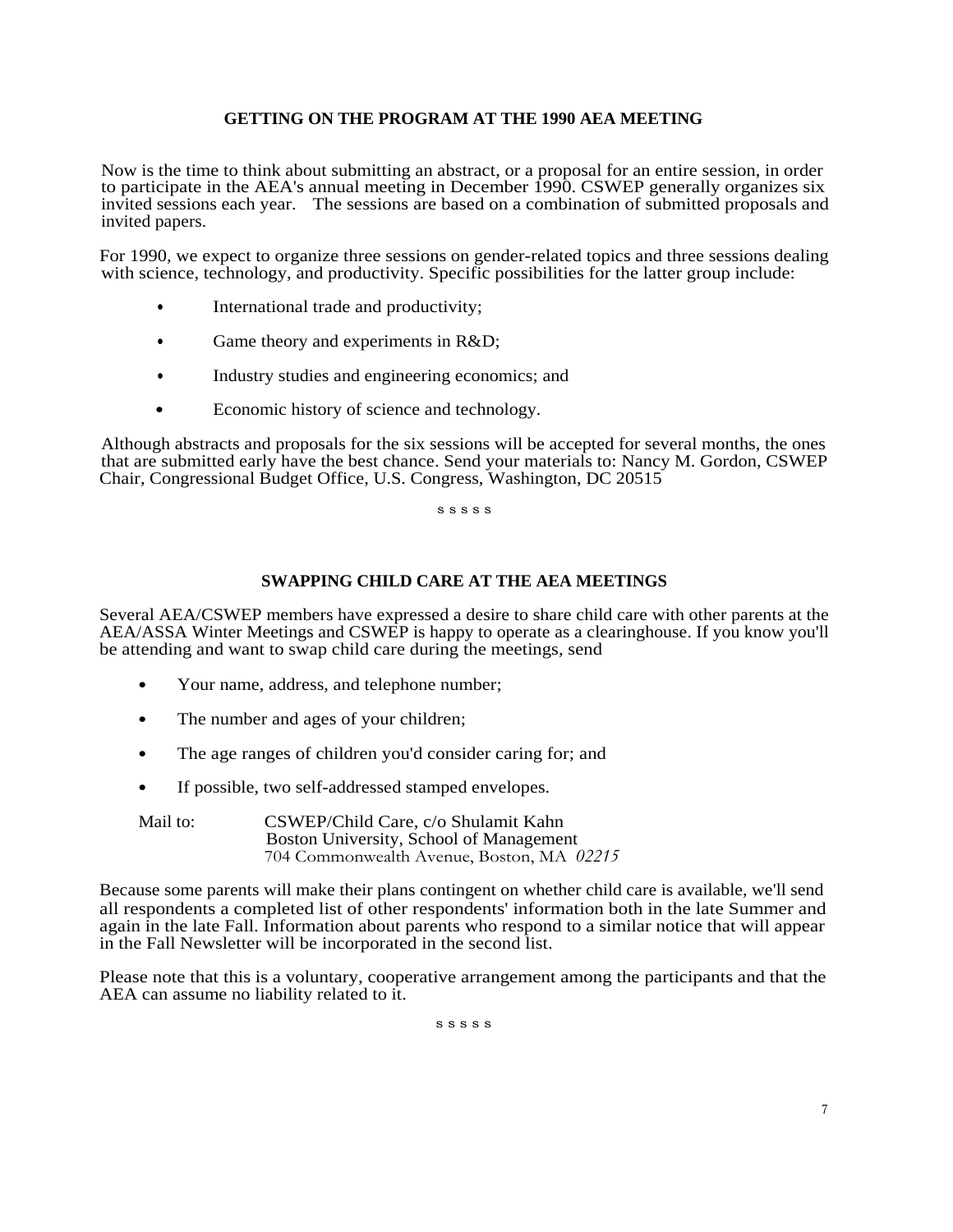#### **GETTING ON THE PROGRAM AT THE 1990 AEA MEETING**

Now is the time to think about submitting an abstract, or a proposal for an entire session, in order to participate in the AEA's annual meeting in December 1990. CSWEP generally organizes six invited sessions each year. The sessions are based on a combination of submitted proposals and invited papers.

For 1990, we expect to organize three sessions on gender-related topics and three sessions dealing with science, technology, and productivity. Specific possibilities for the latter group include:

- International trade and productivity;
- Game theory and experiments in R&D;
- Industry studies and engineering economics; and
- Economic history of science and technology.

Although abstracts and proposals for the six sessions will be accepted for several months, the ones that are submitted early have the best chance. Send your materials to: Nancy M. Gordon, CSWEP Chair, Congressional Budget Office, U.S. Congress, Washington, DC 20515

s s s s s

#### **SWAPPING CHILD CARE AT THE AEA MEETINGS**

Several AEA/CSWEP members have expressed a desire to share child care with other parents at the AEA/ASSA Winter Meetings and CSWEP is happy to operate as a clearinghouse. If you know you'll be attending and want to swap child care during the meetings, send

- Your name, address, and telephone number;
- The number and ages of your children;
- The age ranges of children you'd consider caring for; and
- If possible, two self-addressed stamped envelopes.
- Mail to: CSWEP/Child Care, c/o Shulamit Kahn Boston University, School of Management 704 Commonwealth Avenue, Boston, MA *02215*

Because some parents will make their plans contingent on whether child care is available, we'll send all respondents a completed list of other respondents' information both in the late Summer and again in the late Fall. Information about parents who respond to a similar notice that will appear in the Fall Newsletter will be incorporated in the second list.

Please note that this is a voluntary, cooperative arrangement among the participants and that the AEA can assume no liability related to it.

s s s s s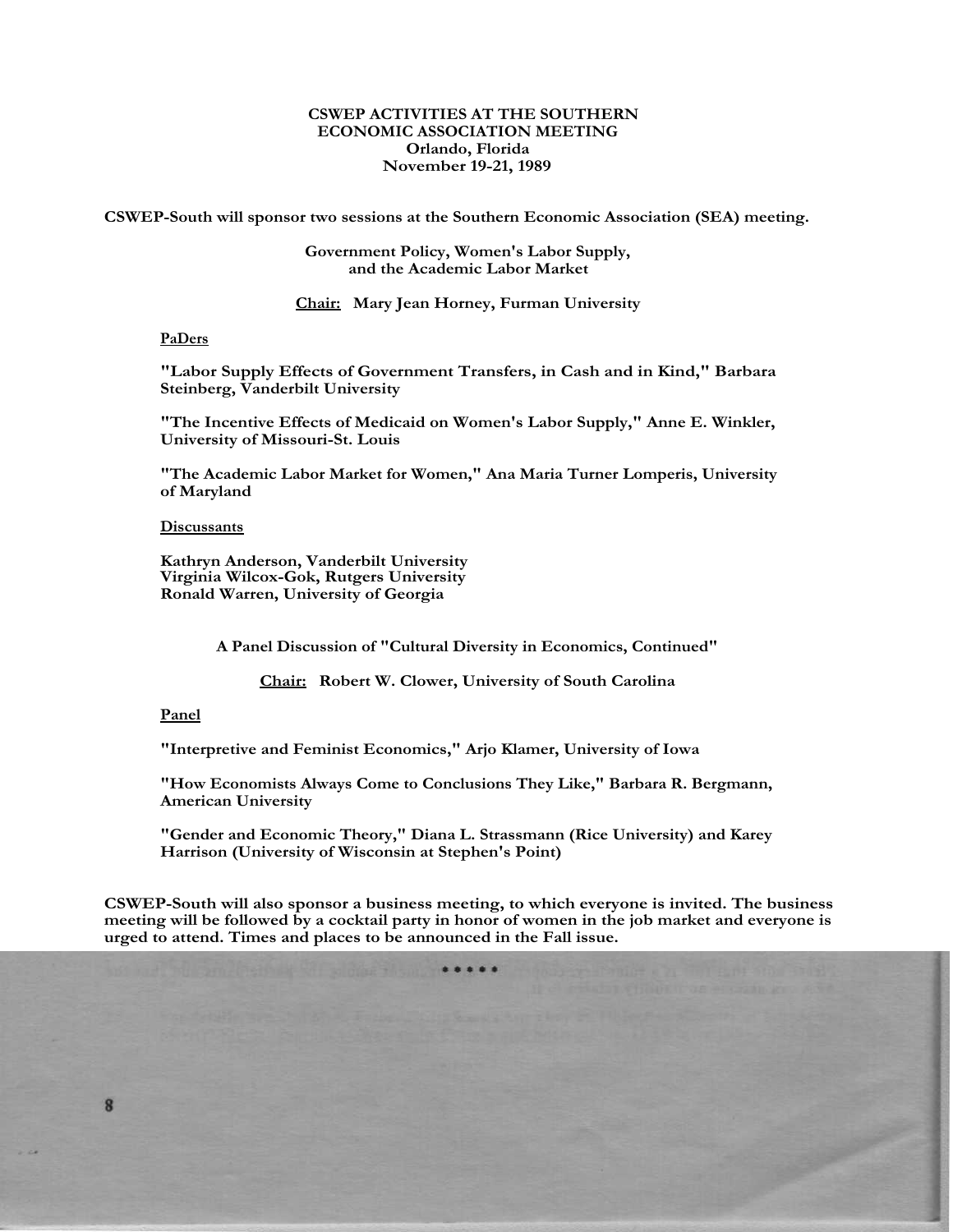#### **CSWEP ACTIVITIES AT THE SOUTHERN ECONOMIC ASSOCIATION MEETING Orlando, Florida November 19-21, 1989**

**CSWEP-South will sponsor two sessions at the Southern Economic Association (SEA) meeting.**

#### **Government Policy, Women's Labor Supply, and the Academic Labor Market**

**Chair: Mary Jean Horney, Furman University**

#### **PaDers**

**"Labor Supply Effects of Government Transfers, in Cash and in Kind," Barbara Steinberg, Vanderbilt University**

**"The Incentive Effects of Medicaid on Women's Labor Supply," Anne E. Winkler, University of Missouri-St. Louis**

**"The Academic Labor Market for Women," Ana Maria Turner Lomperis, University of Maryland**

#### **Discussants**

**Kathryn Anderson, Vanderbilt University Virginia Wilcox-Gok, Rutgers University Ronald Warren, University of Georgia**

**A Panel Discussion of "Cultural Diversity in Economics, Continued"**

**Chair: Robert W. Clower, University of South Carolina**

#### **Panel**

8

**"Interpretive and Feminist Economics," Arjo Klamer, University of Iowa**

**"How Economists Always Come to Conclusions They Like," Barbara R. Bergmann, American University**

**"Gender and Economic Theory," Diana L. Strassmann (Rice University) and Karey Harrison (University of Wisconsin at Stephen's Point)**

**CSWEP-South will also sponsor a business meeting, to which everyone is invited. The business meeting will be followed by a cocktail party in honor of women in the job market and everyone is urged to attend. Times and places to be announced in the Fall issue.**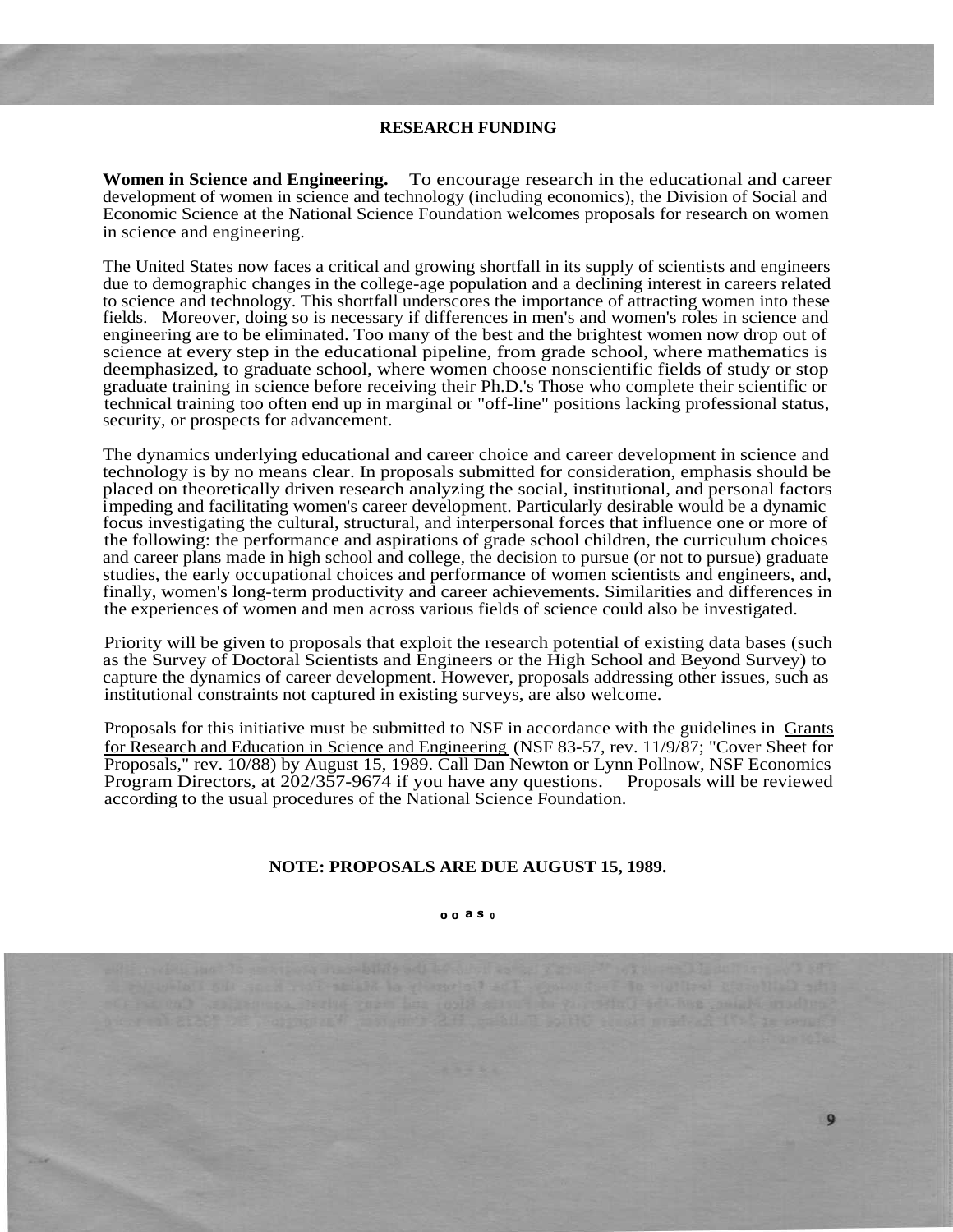#### **RESEARCH FUNDING**

**Women in Science and Engineering.** To encourage research in the educational and career development of women in science and technology (including economics), the Division of Social and Economic Science at the National Science Foundation welcomes proposals for research on women in science and engineering.

The United States now faces a critical and growing shortfall in its supply of scientists and engineers due to demographic changes in the college-age population and a declining interest in careers related to science and technology. This shortfall underscores the importance of attracting women into these fields. Moreover, doing so is necessary if differences in men's and women's roles in science and engineering are to be eliminated. Too many of the best and the brightest women now drop out of science at every step in the educational pipeline, from grade school, where mathematics is deemphasized, to graduate school, where women choose nonscientific fields of study or stop graduate training in science before receiving their Ph.D.'s Those who complete their scientific or technical training too often end up in marginal or "off-line" positions lacking professional status, security, or prospects for advancement.

The dynamics underlying educational and career choice and career development in science and technology is by no means clear. In proposals submitted for consideration, emphasis should be placed on theoretically driven research analyzing the social, institutional, and personal factors impeding and facilitating women's career development. Particularly desirable would be a dynamic focus investigating the cultural, structural, and interpersonal forces that influence one or more of the following: the performance and aspirations of grade school children, the curriculum choices and career plans made in high school and college, the decision to pursue (or not to pursue) graduate studies, the early occupational choices and performance of women scientists and engineers, and, finally, women's long-term productivity and career achievements. Similarities and differences in the experiences of women and men across various fields of science could also be investigated.

Priority will be given to proposals that exploit the research potential of existing data bases (such as the Survey of Doctoral Scientists and Engineers or the High School and Beyond Survey) to capture the dynamics of career development. However, proposals addressing other issues, such as institutional constraints not captured in existing surveys, are also welcome.

Proposals for this initiative must be submitted to NSF in accordance with the guidelines in Grants for Research and Education in Science and Engineering (NSF 83-57, rev. 11/9/87; "Cover Sheet for Proposals," rev. 10/88) by August 15, 1989. Call Dan Newton or Lynn Pollnow, NSF Economics Program Directors, at 202/357-9674 if you have any questions. Proposals will be reviewed according to the usual procedures of the National Science Foundation.

#### **NOTE: PROPOSALS ARE DUE AUGUST 15, 1989.**

#### **0 0 a s <sup>0</sup>**

 $\mathbf{Q}$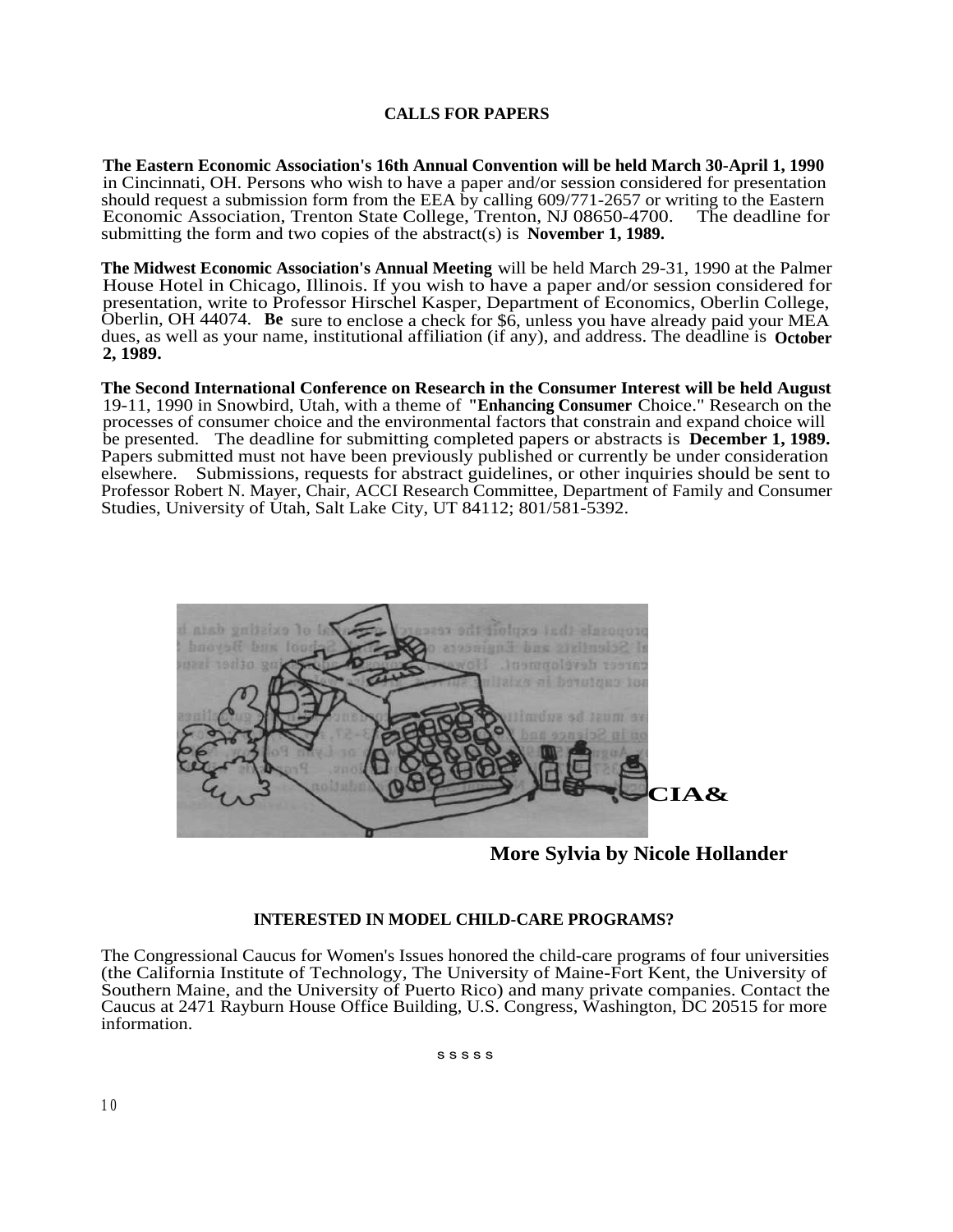#### **CALLS FOR PAPERS**

**The Eastern Economic Association's 16th Annual Convention will be held March 30-April 1, 1990** in Cincinnati, OH. Persons who wish to have a paper and/or session considered for presentation should request a submission form from the EEA by calling  $609/771-2657$  or writing to the Eastern Economic Association, Trenton State College, Trenton, NJ 08650-4700. The deadline for submitting the form and two copies of the abstract(s) is **November 1, 1989.**

**The Midwest Economic Association's Annual Meeting** will be held March 29-31, 1990 at the Palmer House Hotel in Chicago, Illinois. If you wish to have a paper and/or session considered for presentation, write to Professor Hirschel Kasper, Department of Economics, Oberlin College, Oberlin, OH 44074. **Be** sure to enclose a check for \$6, unless you have already paid your MEA dues, as well as your name, institutional affiliation (if any), and address. The deadline is **October 2, 1989.**

**The Second International Conference on Research in the Consumer Interest will be held August** 19-11, 1990 in Snowbird, Utah, with a theme of **"Enhancing Consumer** Choice." Research on the processes of consumer choice and the environmental factors that constrain and expand choice will be presented. The deadline for submitting completed papers or abstracts is **December 1, 1989.** Papers submitted must not have been previously published or currently be under consideration elsewhere. Submissions, requests for abstract guidelines, or other inquiries should be sent to Professor Robert N. Mayer, Chair, ACCI Research Committee, Department of Family and Consumer Studies, University of Utah, Salt Lake City, UT 84112; 801/581-5392.



**More Sylvia by Nicole Hollander**

#### **INTERESTED IN MODEL CHILD-CARE PROGRAMS?**

The Congressional Caucus for Women's Issues honored the child-care programs of four universities (the California Institute of Technology, The University of Maine-Fort Kent, the University of Southern Maine, and the University of Puerto Rico) and many private companies. Contact the Caucus at 2471 Rayburn House Office Building, U.S. Congress, Washington, DC 20515 for more information.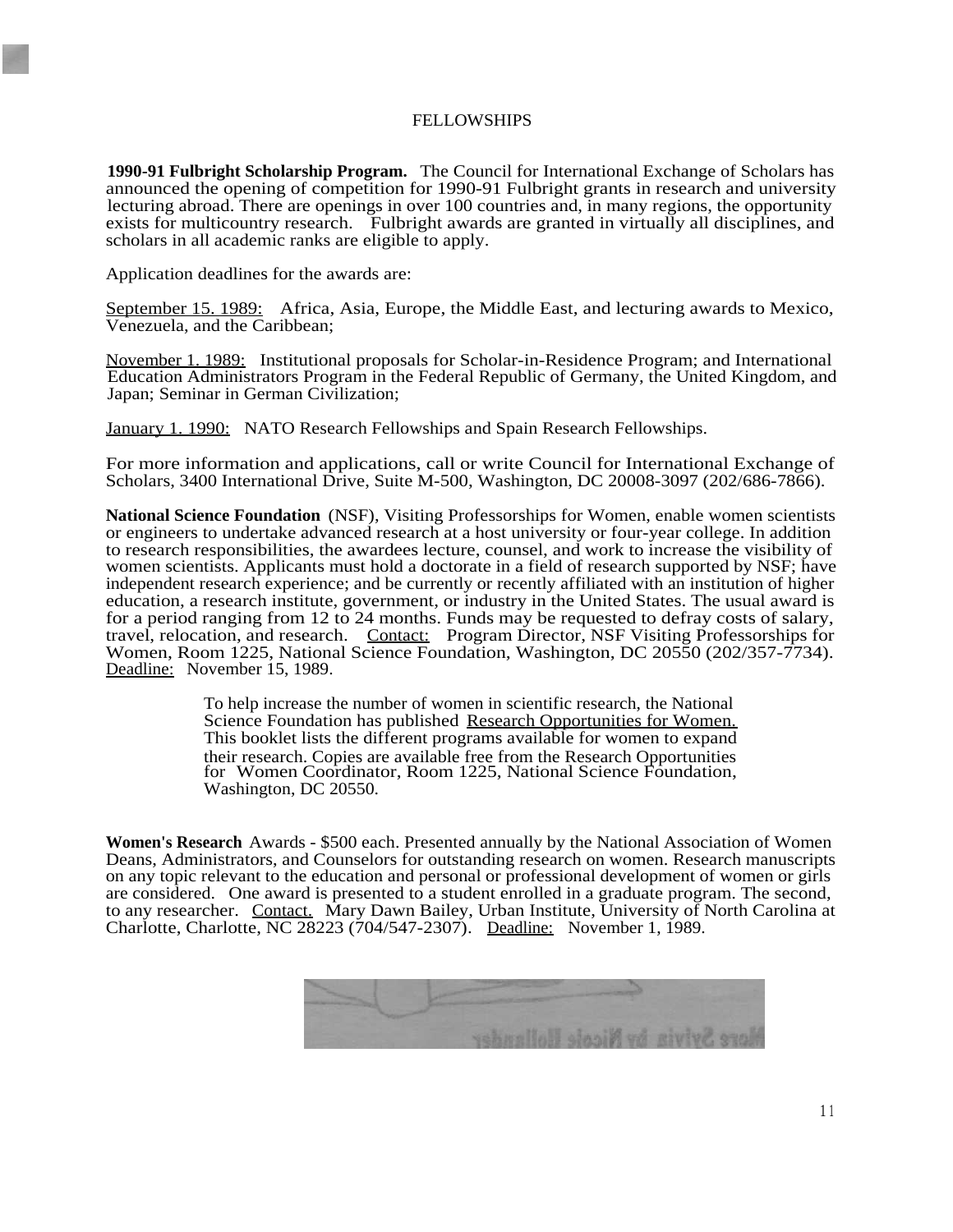#### FELLOWSHIPS

**1990-91 Fulbright Scholarship Program.** The Council for International Exchange of Scholars has announced the opening of competition for 1990-91 Fulbright grants in research and university lecturing abroad. There are openings in over 100 countries and, in many regions, the opportunity exists for multicountry research. Fulbright awards are granted in virtually all disciplines, and scholars in all academic ranks are eligible to apply.

Application deadlines for the awards are:

September 15. 1989: Africa, Asia, Europe, the Middle East, and lecturing awards to Mexico, Venezuela, and the Caribbean;

November 1. 1989: Institutional proposals for Scholar-in-Residence Program; and International Education Administrators Program in the Federal Republic of Germany, the United Kingdom, and Japan; Seminar in German Civilization;

January 1. 1990: NATO Research Fellowships and Spain Research Fellowships.

For more information and applications, call or write Council for International Exchange of Scholars, 3400 International Drive, Suite M-500, Washington, DC 20008-3097 (202/686-7866).

**National Science Foundation** (NSF), Visiting Professorships for Women, enable women scientists or engineers to undertake advanced research at a host university or four-year college. In addition to research responsibilities, the awardees lecture, counsel, and work to increase the visibility of women scientists. Applicants must hold a doctorate in a field of research supported by NSF; have independent research experience; and be currently or recently affiliated with an institution of higher education, a research institute, government, or industry in the United States. The usual award is for a period ranging from 12 to 24 months. Funds may be requested to defray costs of salary, travel, relocation, and research. Contact: Program Director, NSF Visiting Professorships for Women, Room 1225, National Science Foundation, Washington, DC 20550 (202/357-7734). Deadline: November 15, 1989.

> To help increase the number of women in scientific research, the National Science Foundation has published Research Opportunities for Women. This booklet lists the different programs available for women to expand their research. Copies are available free from the Research Opportunities for Women Coordinator, Room 1225, National Science Foundation, Washington, DC 20550.

**Women's Research** Awards - \$500 each. Presented annually by the National Association of Women Deans, Administrators, and Counselors for outstanding research on women. Research manuscripts on any topic relevant to the education and personal or professional development of women or girls are considered. One award is presented to a student enrolled in a graduate program. The second, to any researcher. Contact. Mary Dawn Bailey, Urban Institute, University of North Carolina at Charlotte, Charlotte, NC 28223 (704/547-2307). Deadline: November 1, 1989.

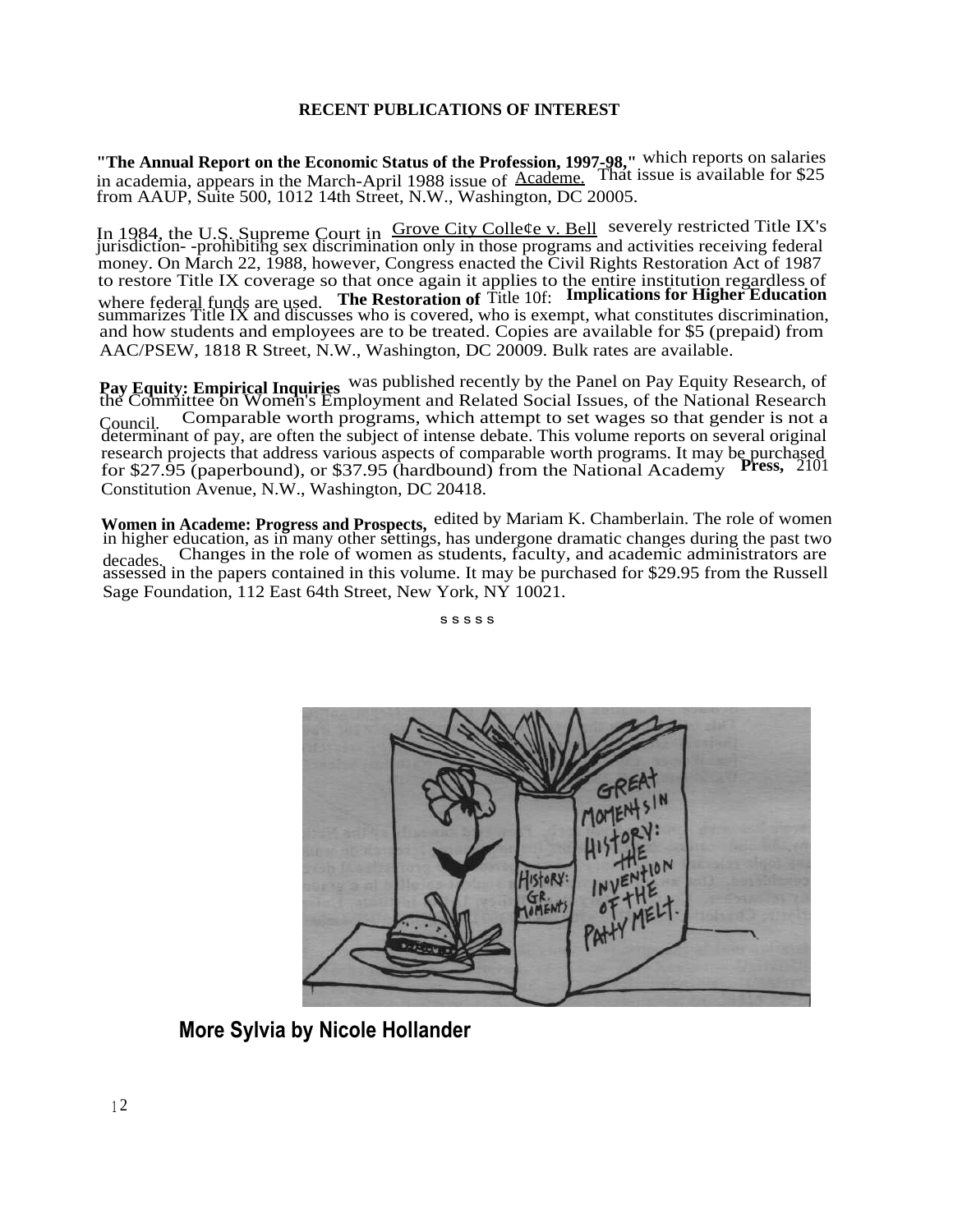#### **RECENT PUBLICATIONS OF INTEREST**

**"The Annual Report on the Economic Status of the Profession, 1997-98,"** which reports on salaries in academia, appears in the March-April 1988 issue of Academe. That issue is available for \$25 from AAUP, Suite 500, 1012 14th Street, N.W., Washington, DC 20005.

In 1984, the U.S. Supreme Court in *Grove City College v. Bell* severely restricted Title IX's jurisdiction--prohibiting sex discrimination only in those programs and activities receiving federal money. On March 22, 1988, however, Congress enacted the Civil Rights Restoration Act of 1987 to restore Title IX coverage so that once again it applies to the entire institution regardless of where federal funds are used. **The Restoration of** Title 10f: **Implications for Higher Education** summarizes Title IX and discusses who is covered, who is exempt, what constitutes discrimination, and how students and employees are to be treated. Copies are available for \$5 (prepaid) from AAC/PSEW, 1818 R Street, N.W., Washington, DC 20009. Bulk rates are available.

**Pay Equity: Empirical Inquiries** was published recently by the Panel on Pay Equity Research, of the Committee on Women's Employment and Related Social Issues, of the National Research Council. Comparable worth programs, which attempt to set wages so that gender is not a determinant of pay, are often the subject of intense debate. This volume reports on several original research projects that address various aspects of comparable worth programs. It may be purchased for \$27.95 (paperbound), or \$37.95 (hardbound) from the National Academy **Press,** 2101 Constitution Avenue, N.W., Washington, DC 20418.

**Women in Academe: Progress and Prospects,** edited by Mariam K. Chamberlain. The role of women in higher education, as in many other settings, has undergone dramatic changes during the past two decades. Changes in the role of women as students, faculty, and academic administrators are assessed in the papers contained in this volume. It may be purchased for \$29.95 from the Russell Sage Foundation, 112 East 64th Street, New York, NY 10021.

s s s s s



**More Sylvia by Nicole Hollander**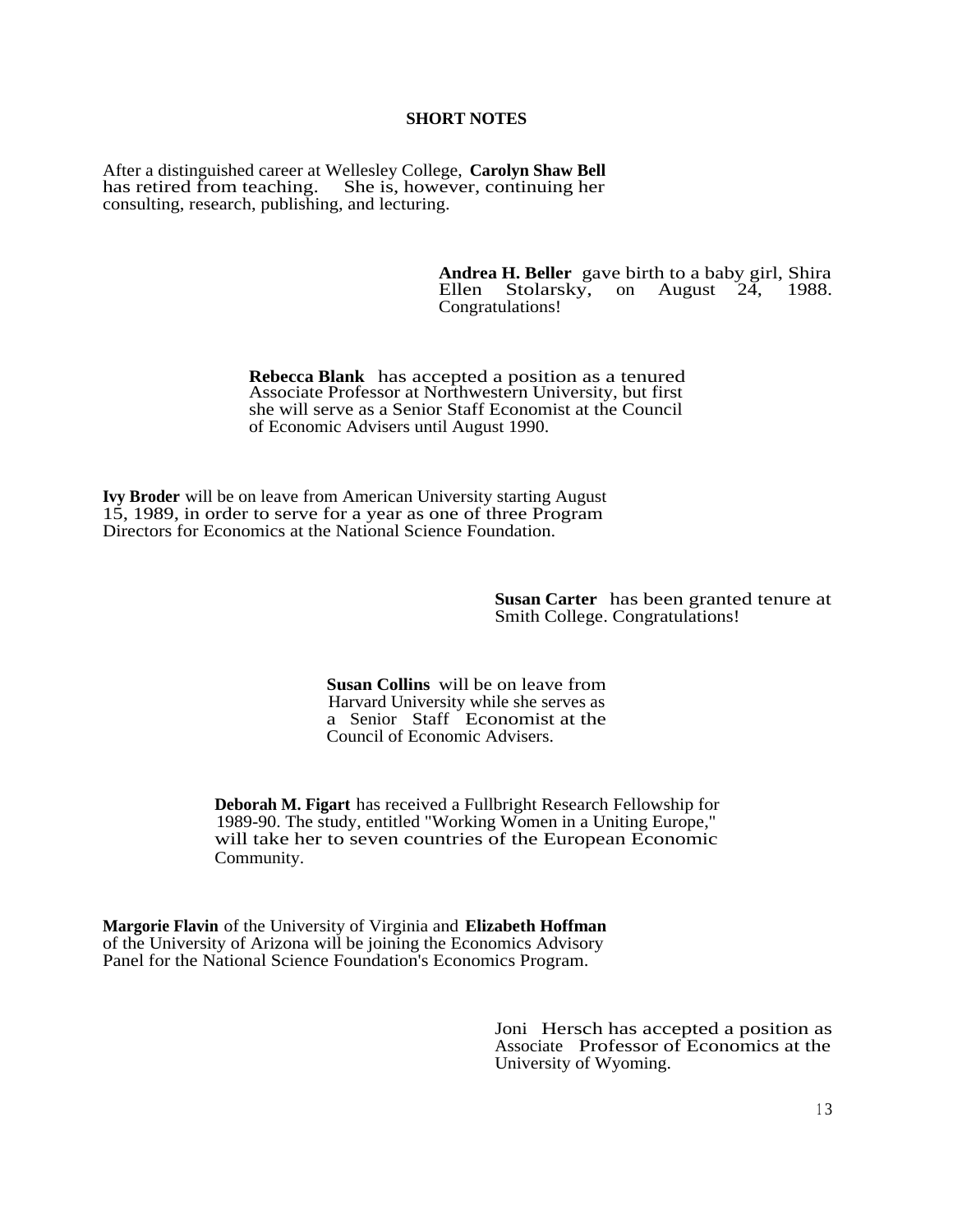#### **SHORT NOTES**

After a distinguished career at Wellesley College, **Carolyn Shaw Bell** has retired from teaching. She is, however, continuing her consulting, research, publishing, and lecturing.

> **Andrea H. Beller** gave birth to a baby girl, Shira Ellen Stolarsky, on August 24, Congratulations!

**Rebecca Blank** has accepted a position as a tenured Associate Professor at Northwestern University, but first she will serve as a Senior Staff Economist at the Council of Economic Advisers until August 1990.

**Ivy Broder** will be on leave from American University starting August 15, 1989, in order to serve for a year as one of three Program Directors for Economics at the National Science Foundation.

> **Susan Carter** has been granted tenure at Smith College. Congratulations!

**Susan Collins** will be on leave from Harvard University while she serves as a Senior Staff Economist at the Council of Economic Advisers.

**Deborah M. Figart** has received a Fullbright Research Fellowship for 1989-90. The study, entitled "Working Women in a Uniting Europe," will take her to seven countries of the European Economic Community.

**Margorie Flavin** of the University of Virginia and **Elizabeth Hoffman** of the University of Arizona will be joining the Economics Advisory Panel for the National Science Foundation's Economics Program.

> Joni Hersch has accepted a position as Associate Professor of Economics at the University of Wyoming.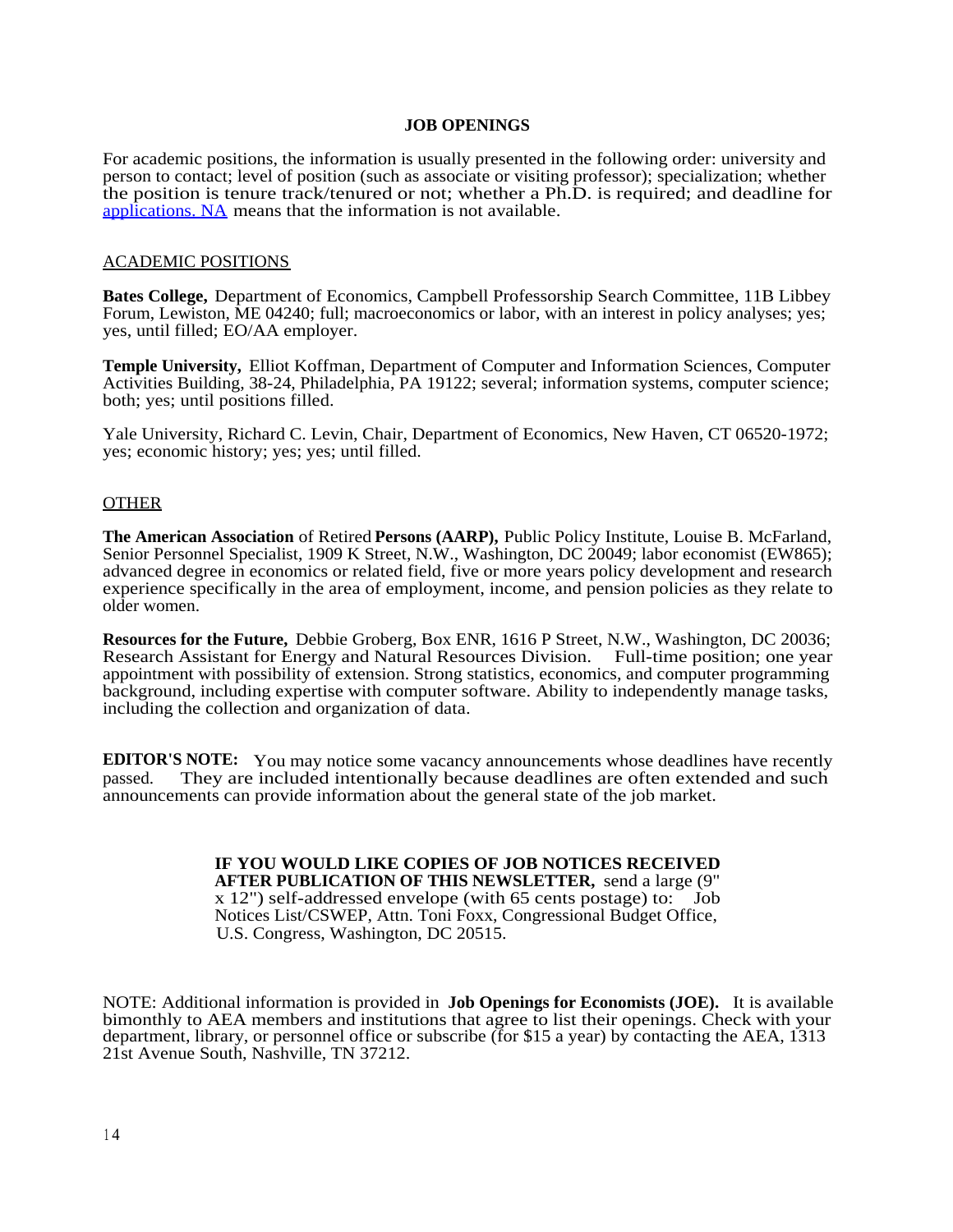#### **JOB OPENINGS**

For academic positions, the information is usually presented in the following order: university and person to contact; level of position (such as associate or visiting professor); specialization; whether the position is tenure track/tenured or not; whether a Ph.D. is required; and deadline for [applications. NA](http://applications.NA) means that the information is not available.

#### ACADEMIC POSITIONS

**Bates College,** Department of Economics, Campbell Professorship Search Committee, 11B Libbey Forum, Lewiston, ME 04240; full; macroeconomics or labor, with an interest in policy analyses; yes; yes, until filled; EO/AA employer.

**Temple University,** Elliot Koffman, Department of Computer and Information Sciences, Computer Activities Building, 38-24, Philadelphia, PA 19122; several; information systems, computer science; both; yes; until positions filled.

Yale University, Richard C. Levin, Chair, Department of Economics, New Haven, CT 06520-1972; yes; economic history; yes; yes; until filled.

#### **OTHER**

**The American Association** of Retired **Persons (AARP),** Public Policy Institute, Louise B. McFarland, Senior Personnel Specialist, 1909 K Street, N.W., Washington, DC 20049; labor economist (EW865); advanced degree in economics or related field, five or more years policy development and research experience specifically in the area of employment, income, and pension policies as they relate to older women.

**Resources for the Future,** Debbie Groberg, Box ENR, 1616 P Street, N.W., Washington, DC 20036; Research Assistant for Energy and Natural Resources Division. Full-time position; one year appointment with possibility of extension. Strong statistics, economics, and computer programming background, including expertise with computer software. Ability to independently manage tasks, including the collection and organization of data.

**EDITOR'S NOTE:** You may notice some vacancy announcements whose deadlines have recently passed. They are included intentionally because deadlines are often extended and such announcements can provide information about the general state of the job market.

#### **IF YOU WOULD LIKE COPIES OF JOB NOTICES RECEIVED AFTER PUBLICATION OF THIS NEWSLETTER,** send a large (9" x 12") self-addressed envelope (with 65 cents postage) to: Job Notices List/CSWEP, Attn. Toni Foxx, Congressional Budget Office, U.S. Congress, Washington, DC 20515.

NOTE: Additional information is provided in **Job Openings for Economists (JOE).** It is available bimonthly to AEA members and institutions that agree to list their openings. Check with your department, library, or personnel office or subscribe (for \$15 a year) by contacting the AEA, 1313 21st Avenue South, Nashville, TN 37212.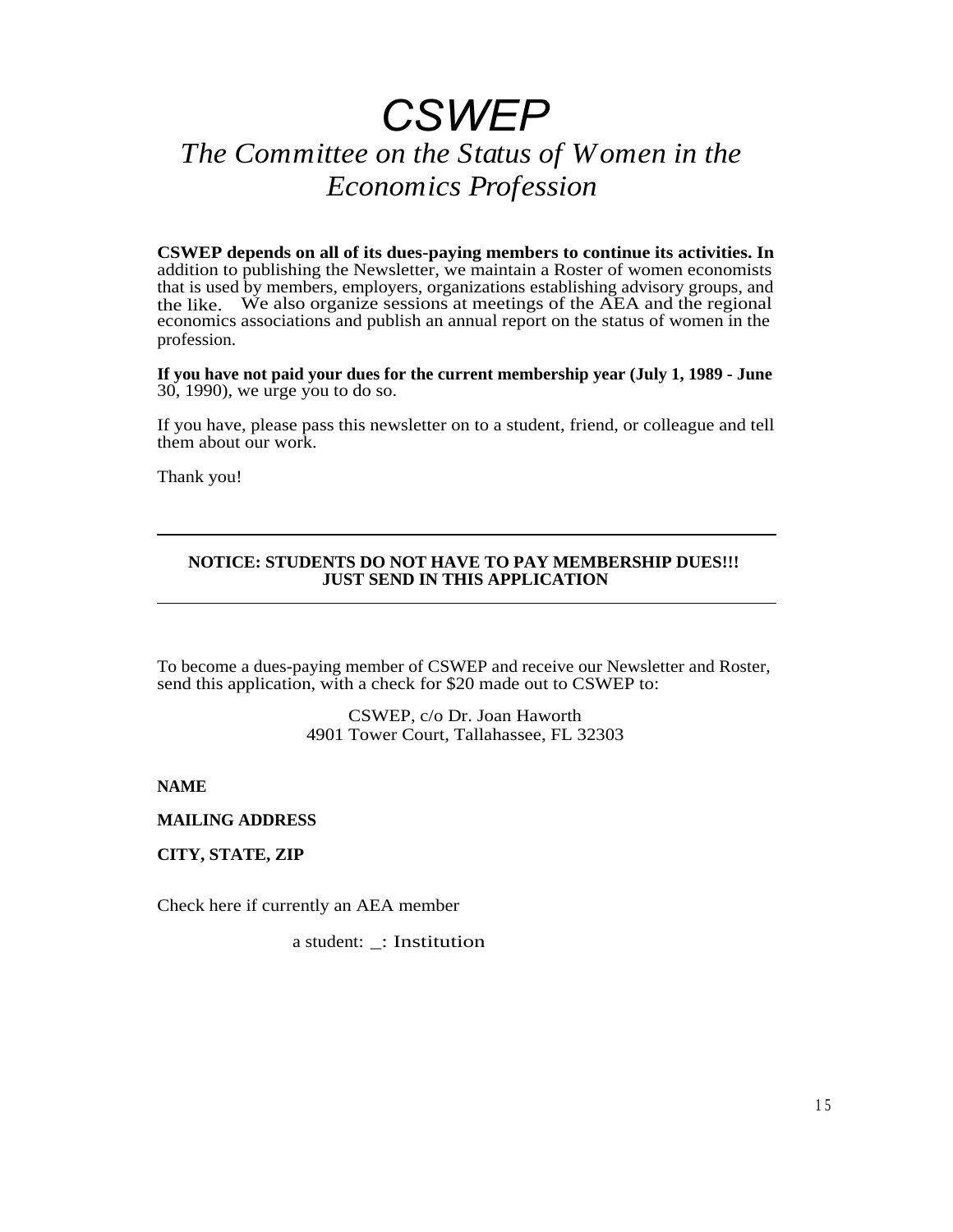# *CSWEP*

## *The Committee on the Status of Women in the Economics Profession*

**CSWEP depends on all of its dues-paying members to continue its activities. In** addition to publishing the Newsletter, we maintain a Roster of women economists that is used by members, employers, organizations establishing advisory groups, and the like. We also organize sessions at meetings of the AEA and the regional We also organize sessions at meetings of the AEA and the regional economics associations and publish an annual report on the status of women in the profession.

**If you have not paid your dues for the current membership year (July 1, 1989 - June** 30, 1990), we urge you to do so.

If you have, please pass this newsletter on to a student, friend, or colleague and tell them about our work.

Thank you!

#### **NOTICE: STUDENTS DO NOT HAVE TO PAY MEMBERSHIP DUES!!! JUST SEND IN THIS APPLICATION**

To become a dues-paying member of CSWEP and receive our Newsletter and Roster, send this application, with a check for \$20 made out to CSWEP to:

> CSWEP, c/o Dr. Joan Haworth 4901 Tower Court, Tallahassee, FL 32303

**NAME**

**MAILING ADDRESS**

**CITY, STATE, ZIP**

Check here if currently an AEA member

a student: \_: Institution